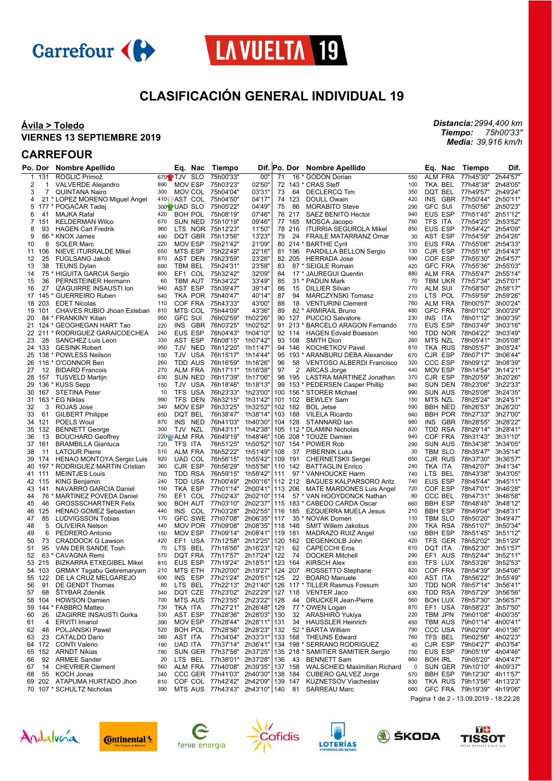



# **CLASIFICACIÓN GENERAL INDIVIDUAL 19**

 $\mathbf{r}$ 

#### **Ávila > Toledo VIERNES 13 SEPTIEMBRE 2019**

*Distancia: 2994,400 km Tiempo: Media: 75h00'33" 39,916 km/h*

### **CARREFOUR**

|    | Po. Dor | <b>Nombre Apellido</b>                       | Eq.<br>Nac                      | Tiempo                     |          |     | Dif.  Po. Dor | <b>Nombre Apellido</b>                         |     | Eq.<br>Nac                            | Tiempo             | Dif.     |
|----|---------|----------------------------------------------|---------------------------------|----------------------------|----------|-----|---------------|------------------------------------------------|-----|---------------------------------------|--------------------|----------|
| 1  | 131     | ROGLIČ Primož                                | 670 <sup>2</sup> TJV SLO        | 75h00'33"                  | 00"      | 71  | 16            | * GODON Dorian                                 | 550 | ALM FRA                               | 77h45'30"          | 2h44'57" |
| 2  | 1       | <b>VALVERDE Alejandro</b>                    | 890<br>MOV ESP                  | 75h03'23"                  | 02'50'   |     |               | 72 143 * CRAS Steff                            | 100 | TKA BEL                               | 77h48'38"          | 2h48'05  |
| 3  | 7       | <b>QUINTANA Nairo</b>                        | 300<br>MOV COL 75h04'04"        |                            | 03'31'   | 73  | 64            | <b>DECLERCQ Tim</b>                            | 350 | DQT BEL                               | 77h49'57"          | 2h49'24' |
| 4  |         | 21 * LOPEZ MORENO Miguel Angel               | 410 AST COL 75h04'50"           |                            | 04'17'   |     | 74 123        | DOULL Owain                                    | 420 | INS<br><b>GBR</b>                     | 77h50'44"          | 2h50'11  |
| 5  | 177     | * POGACAR Tadej                              | 300 <sup>1</sup> UAD SLO        | 75h05'22"                  | 04'49'   | 75  | 86            | <b>MORABITO Steve</b>                          | 290 | <b>GFC SUI</b>                        | 77h50'56"          | 2h50'23  |
| 6  | 41      | MAJKA Rafal                                  | 420<br>BOH POL 75h08'19"        |                            | 07'46'   |     | 76 217        | SAEZ BENITO Hector                             | 940 | <b>EUS ESP</b>                        | 77h51'45"          | 2h51'12' |
| 7  | 151     | <b>KELDERMAN Wilco</b>                       | 670<br>SUN NED 75h10'19"        |                            | 09'46'   |     | 77 165        | MOSCA Jacopo                                   | 780 | TFS ITA                               | 77h54'25"          | 2h53'52' |
| 8  | 93      | <b>HAGEN Carl Fredrik</b>                    | LTS NOR 75h12'23"<br>960        |                            | 11'50'   |     | 78 216        | <b>ITURRIA SEGUROLA Mikel</b>                  | 850 | <b>EUS ESP</b>                        | 77h54'42"          | 2h54'09  |
| 9  | 66      | <b>KNOX James</b>                            | DQT GBR<br>490                  | 75h13'56"                  | 13'23'   | 79  | 24            | FRAILE MATARRANZ Omar                          | 30  | AST ESP                               | 77h54'59"          | 2h54'26  |
| 10 | 8       | <b>SOLER Marc</b>                            | 220<br><b>MOV ESP</b>           | 75h21'42"                  | 21'09'   |     |               | 80 214 * BARTHE Cyril                          | 310 | EUS FRA                               | 77h55'06"          | 2h54'33' |
| 11 | 106     | NIEVE ITURRALDE Mikel                        | MTS ESP<br>650                  | 75h22'49"                  | 22'16'   |     | 81 196        | PARDILLA BELLON Sergio                         | 130 | CJR ESP                               | 77h55'16"          | 2h54'43  |
| 12 | 25      | <b>FUGLSANG Jakob</b>                        | AST DEN 75h23'59"<br>870        |                            | 23'26'   |     | 82 205        | <b>HERRADA Jose</b>                            | 590 | COF ESP                               | 77h55'30"          | 2h54'57' |
| 13 | 38      | <b>TEUNS Dylan</b>                           | 690<br>TBM BEL                  | 75h24'31"                  | 23'58"   | 83  |               | 87 * SEIGLE Romain                             | 420 | <b>GFC FRA</b>                        | 77h55'36"          | 2h55'03' |
| 14 |         | 75 * HIGUITA GARCIA Sergio                   | EF1<br>800                      | COL 75h32'42"              | 32'09'   | 84  |               | 17 * JAUREGUI Quentin                          | 880 | ALM FRA                               | 77h55'47"          | 2h55'14' |
| 15 | 36      | PERNSTEINER Hermann                          | <b>TBM AUT</b><br>60            | 75h34'22"                  | 33'49"   | 85  |               | 31 * PADUN Mark                                | 70  | <b>TBM UKR</b>                        | 77h57'34"          | 2h57'01  |
| 16 | 27      | <b>IZAGUIRRE INSAUSTI Ion</b>                | 940<br>AST ESP                  | 75h39'47"                  | 39'14"   | 86  | 15            | <b>DILLIER Silvan</b>                          | 770 | <b>ALM SUI</b>                        | 77h58'50"          | 2h58'17" |
| 17 | 145     | * GUERREIRO Ruben                            | TKA POR 75h40'47"<br>640        |                            | 40'14"   | 87  | 94            | <b>MARCZYNSKI Tomasz</b>                       | 210 | LTS POL                               | 77h59'59"          | 2h59'26  |
| 18 | 203     | <b>EDET Nicolas</b>                          | 110<br>COF FRA                  | 75h43'33"                  | 43'00"   | 88  | 18            | <b>VENTURINI Clement</b>                       | 760 | ALM FRA                               | 78h00'57"          | 3h00'24  |
| 19 | 101     | CHAVES RUBIO Jhoan Esteban                   | 810<br>MTS COL 75h44'09"        |                            | 43'36'   | 89  |               | 82 * ARMIRAIL Bruno                            | 480 | <b>GFC FRA</b>                        | 78h01'02"          | 3h00'29' |
| 20 |         | 84 * FRANKINY Kilian                         | 950<br><b>GFC SUI</b>           | 76h02'59"                  | 1h02'26' |     | 90 127        | <b>PUCCIO Salvatore</b>                        | 230 | INS ITA                               | 78h01'12"          | 3h00'39  |
| 21 | 124 *   | <b>GEOGHEGAN HART Tao</b>                    | 220<br><b>INS</b><br><b>GBR</b> | 76h03'25"                  | 1h02'52' |     | 91 213        | * BARCELO ARAGON Fernando                      | 770 | EUS ESP                               | 78h03'49"          | 3h03'16  |
|    |         | 22 211 * RODRIGUEZ GARAICOECHEA              | EUS ESP<br>240                  | 76h04'43"                  | 1h04'10" |     | 92 114        | <b>HAGEN Edvald Boasson</b>                    | 160 | TDD NOR                               | 78h04'22"          | 3h03'49  |
| 23 | 28      | SANCHEZ Luis Leon                            | AST ESP<br>330                  | 76h08'15"                  | 1h07'42' |     | 93 108        | <b>SMITH Dion</b>                              | 260 | MTS NZL                               | 78h05'41"          | 3h05'08  |
|    | 24 133  | <b>GESINK Robert</b>                         | TJV<br><b>NED</b><br>950        | 76h12'20"                  | 1h11'47" |     | 94 146        | <b>KOCHETKOV Pavel</b>                         | 810 | TKA RUS                               | 78h05'57"          | 3h05'24  |
| 25 |         | 138 * POWLESS Neilson                        | 150<br>TJV USA                  | 76h15'17" 1h14'44"         |          |     |               | 95 193 * ARANBURU DEBA Alexander               | 670 | CJR ESP                               | 78h07'17"          | 3h06'44  |
| 26 |         | 116 * O'CONNOR Ben                           | 260<br>TDD AUS                  | 76h16'59"                  | 1h16'26' | 96  | 58            | <b>VENTOSO ALBERDI Francisco</b>               | 320 | <b>CCC ESP</b>                        | 78h09'12"          | 3h08'39  |
| 27 | 12      | <b>BIDARD Francois</b>                       | ALM FRA<br>270                  | 76h17'11"                  | 1h16'38" | 97  | 2             | <b>ARCAS Jorge</b>                             | 440 | <b>MOV ESP</b>                        | 78h14'54"          | 3h14'21  |
| 28 | 157     | <b>TUSVELD Martijn</b>                       | 630<br>SUN NED                  | 76h17'39" 1h17'06"         |          |     | 98 195        | LASTRA MARTINEZ Jonathan                       | 370 | CJR ESP                               | 78h20'59"          | 3h20'26  |
| 29 |         | 136 * KUSS Sepp                              | TJV USA<br>150                  | 76h18'46"                  | 1h18'13' |     |               | 99 153 * PEDERSEN Casper Phillip               | 840 | <b>SUN DEN</b>                        | 78h23'06"          | 3h22'33' |
| 30 | 167     | <b>STETINA Peter</b>                         | <b>TFS</b><br>USA<br>10         | 76h23'33"                  | 1h23'00" | 100 |               | 156 * STORER Michael                           | 990 | <b>SUN AUS</b>                        | 78h25'08"          | 3h24'35  |
|    |         | 31 163 * EG Niklas                           | 990<br>TFS DEN                  | 76h32'15" 1h31'42"         |          |     | 101 102       | <b>BEWLEY Sam</b>                              | 150 | MTS NZL                               | 78h25'24"          | 3h24'51  |
| 32 | 3       | ROJAS Jose                                   | <b>MOV ESP</b><br>340           | 76h33'25"                  | 1h32'52' |     | 102 182       | <b>BOL Jetse</b>                               | 590 | <b>BBH NED</b>                        | 78h26'53"          | 3h26'20  |
| 33 | 61      |                                              | DQT BEL<br>650                  | 76h38'47"                  | 1h38'14" | 103 | 188           |                                                | 940 | <b>BBH POR</b>                        | 78h27'33"          | 3h27'00' |
|    |         | <b>GILBERT Philippe</b><br><b>POELS Wout</b> | INS<br>NED                      |                            | 1h40'30" |     | 104 128       | <b>VILELA Ricardo</b>                          |     | INS<br>GBR                            | 78h28'55"          | 3h28'22" |
|    | 34 121  |                                              | 870<br>TJV NZL                  | 76h41'03"                  |          |     |               | STANNARD lan                                   | 980 |                                       |                    |          |
| 35 | 132     | <b>BENNETT George</b>                        | 300                             | 76h43'11"                  | 1h42'38' |     |               | 105 112 * DLAMINI Nicholas                     | 820 | TDD RSA<br>COF FRA                    | 78h29'14"          | 3h28'41  |
| 36 | 13      | <b>BOUCHARD Geoffrey</b>                     | 220窗 ALM FRA                    | 76h49'19"                  | 1h48'46' |     |               | 106 208 * TOUZE Damien                         | 940 |                                       | 78h31'43"          | 3h31'10' |
| 37 | 161     | <b>BRAMBILLA Gianluca</b>                    | TFS ITA<br>720                  | 76h51'25"                  | 1h50'52" |     |               | 107 154 * POWER Rob                            | 290 | SUN AUS                               | 78h34'38"          | 3h34'05  |
| 38 | 11      | <b>LATOUR Pierre</b>                         | ALM FRA<br>510                  | 76h52'22"                  | 1h51'49' | 108 | 37            | PIBERNIK Luka                                  | 30  | TBM SLO                               | 78h35'47"          | 3h35'14  |
| 39 | 174     | HENAO MONTOYA Sergio Luis                    | <b>UAD COL</b><br>920           | 76h56'15"                  | 1h55'42" |     | 109 191       | <b>CHERNETSKII Sergei</b>                      | 650 | CJR RUS                               | 78h37'30"          | 3h36'57  |
| 40 | 197     | RODRIGUEZ MARTIN Cristian                    | 360<br>CJR ESP                  | 76h56'29"                  | 1h55'56" |     | 110 142       | <b>BATTAGLIN Enrico</b>                        | 240 | TKA ITA                               | 78h42'07"          | 3h41'34' |
|    | 41 111  | <b>MEINTJES Louis</b>                        | 760<br>TDD RSA                  | 76h59'15"                  | 1h58'42' | 111 |               | 97 * VANHOUCKE Harm                            | 740 | <b>LTS</b><br>BEL                     | 78h43'38"          | 3h43'05  |
|    | 42 115  | <b>KING Benjamin</b>                         | <b>TDD USA</b><br>240           | 77h00'49"                  | 2h00'16" |     | 112 212       | <b>BAGUES KALPARSORO Aritz</b>                 | 740 | EUS ESP                               | 78h45'44"          | 3h45'11  |
| 43 | 141     | NAVARRO GARCIA Daniel                        | TKA ESP<br>150                  | 77h01'14"                  | 2h00'41" |     | 113 206       | MATE MARDONES Luis Angel                       | 720 | COF ESP                               | 78h47'01"          | 3h46'28  |
| 44 | 76      | * MARTINEZ POVEDA Daniel                     | EF1<br>COL<br>750               | 77h02'43"                  | 2h02'10" | 114 |               | 57 * VAN HOOYDONCK Nathan                      | 80  | CCC BEL                               | 78h47'31"          | 3h46'58  |
| 45 | 46      | <b>GROSSSCHARTNER Felix</b>                  | 900<br><b>BOH AUT</b>           | 77h03'10" 2h02'37"         |          |     |               | 115 183 * CABEDO CARDA Oscar                   | 660 | <b>BBH ESP</b>                        | 78h48'45"          | 3h48'12' |
| 46 | 125     | HENAO GOMEZ Sebastian                        | INS<br>440                      | COL 77h03'28"              | 2h02'55" |     | 116 185       | <b>EZQUERRA MUELA Jesus</b>                    | 210 | <b>BBH ESP</b>                        | 78h49'04"          | 3h48'31  |
| 47 | 85      | <b>LUDVIGSSON Tobias</b>                     | 170                             | GFC SWE 77h07'08"          | 2h06'35' | 117 |               | 35 * NOVAK Domen                               | 110 | TBM SLO                               | 78h50'20"          | 3h49'47  |
| 48 | 5       | <b>OLIVEIRA Nelson</b>                       | MOV POR<br>440                  | 77h09'08"                  | 2h08'35' |     | 118 148       | <b>SMIT Willem Jakobus</b>                     | 200 | TKA RSA                               | 78h51'07"          | 3h50'34' |
| 49 | 6       | PEDRERO Antonio                              | MOV ESP<br>150                  | 77h09'14"                  | 2h08'41" |     | 119 181       | MADRAZO RUIZ Angel                             | 150 | <b>BBH ESP</b>                        | 78h51'45"          | 3h51'12' |
| 50 | 73      | <b>CRADDOCK G Lawson</b>                     | 420<br>EF1<br>USA               | 77h12'58"                  | 2h12'25' |     | 120 162       | DEGENKOLB John                                 | 420 | TFS GER                               | 78h52'02"          | 3h51'29' |
| 51 | 95      | VAN DER SANDE Tosh                           | 70<br>LTS.<br>BEL               | 77h16'56"                  | 2h16'23" | 121 | 62            | <b>CAPECCHI Eros</b>                           | 610 | DQT ITA                               | 78h52'30"          | 3h51'57" |
| 52 |         | 63 * CAVAGNA Remi                            | DQT FRA<br>570                  | 77h17'57"                  | 2h17'24" | 122 | 74            | <b>DOCKER Mitchell</b>                         | 290 | EF1 AUS                               | 78h52'44"          | 3h52'11  |
| 53 | 215     | <b>BIZKARRA ETXEGIBEL Mikel</b>              | EUS ESP<br>810                  | 77h19'24"                  | 2h18'51  |     | 123 164       | <b>KIRSCH Alex</b>                             | 830 | TFS<br>LUX                            | 78h53'26"          | 3h52'53  |
|    | 54 103  | <b>GRMAY Tsgabu Gebremaryam</b>              | 210<br>MTS ETH                  | 77h20'00" 2h19'27"         |          |     | 124 207       | ROSSETTO Stephane                              | 820 | COF FRA                               | 78h54'39"          | 3h54'06  |
|    | 55 122  | DE LA CRUZ MELGAREJO                         | 600<br>INS<br>ESP               | 77h21'24" 2h20'51" 125     |          |     | 22            | <b>BOARO Manuele</b>                           | 400 | AST ITA                               | 78h56'22"          | 3h55'49  |
| 56 | 91      | DE GENDT Thomas                              | LTS BEL<br>80                   | 77h22'13" 2h21'40"         |          |     |               | 126 117 * TILLER Rasmus Fossum                 | 320 | TDD NOR 78h57'14"                     |                    | 3h56'41' |
| 57 | 68      | ŠTYBAR Zdeněk                                | DQT CZE<br>340                  | 77h23'02" 2h22'29"         |          |     |               | 127 118 VENTER Jaco                            | 630 | TDD RSA                               | 78h57'29"          | 3h56'56" |
| 58 | 104     | <b>HOWSON Damien</b>                         | MTS AUS<br>700                  | 77h23'55" 2h23'22"         |          | 128 | 44            | <b>DRUCKER Jean-Pierre</b>                     | 560 | <b>BOH LUX</b>                        | 78h57'30"          | 3h56'57" |
| 59 |         | 144 * FABBRO Matteo                          | TKA ITA<br>730                  | 77h27'21" 2h26'48"         |          | 129 |               | 77 * OWEN Logan                                | 870 | EF1 USA                               | 78h58'23"          | 3h57'50" |
| 60 | 26      | IZAGIRRE INSAUSTI Gorka                      | AST ESP<br>330                  | 77h28'36" 2h28'03"         |          | 130 |               | 32 ARASHIRO Yukiya                             | 220 | TBM JPN                               | 79h01'08" 4h00'35" |          |
| 61 | 4       | <b>ERVITI Imanol</b>                         | MOV ESP<br>390                  | 77h28'44" 2h28'11"         |          | 131 | 34            | <b>HAUSSLER Heinrich</b>                       | 450 | TBM AUS                               | 79h01'14" 4h00'41" |          |
| 62 | 48      | POLJANSKI Pawel                              | 520                             | BOH POL 77h28'56" 2h28'23" |          | 132 |               | 52 * BARTA William                             | 790 | CCC USA                               | 79h02'09"          | 4h01'36' |
| 63 | 23      | <b>CATALDO Dario</b>                         | AST ITA<br>380                  | 77h34'04" 2h33'31"         |          |     | 133 168       | THEUNS Edward                                  | 760 | TFS BEL                               | 79h02'56" 4h02'23" |          |
|    | 64 172  | <b>CONTI Valerio</b>                         | <b>UAD ITA</b><br>190           | 77h37'14" 2h36'41"         |          |     |               | 134 198 * SERRANO RODRIGUEZ                    | 40  | CJR ESP                               | 79h04'27" 4h03'54" |          |
| 65 | 152     | <b>ARNDT Nikias</b>                          | 780                             | SUN GER 77h37'58"          | 2h37'25" |     |               | 135 218 * SAMITIER SAMITIER Sergio             | 750 | EUS ESP                               | 79h05'19"          | 4h04'46" |
| 66 | 92      | <b>ARMEE Sander</b>                          | 20                              | LTS BEL 77h38'01" 2h37'28" |          | 136 | 43            | <b>BENNETT Sam</b>                             | 860 | <b>BOH IRL</b>                        | 79h05'20" 4h04'47" |          |
| 67 | 14      | <b>CHEVRIER Clement</b>                      | 560                             | ALM FRA 77h40'08" 2h39'35" |          |     | 137 158       | WALSCHEID Maximilian Richard                   | 0   | SUN GER 79h10'10" 4h09'37"            |                    |          |
| 68 | 55      | <b>KOCH Jonas</b>                            | 340                             | CCC GER 77h41'03" 2h40'30" |          |     | 138 184       | <b>CUBERO GALVEZ Jorge</b>                     | 570 | <b>BBH ESP</b>                        | 79h12'30" 4h11'57" |          |
|    | 69 202  | ATAPUMA HURTADO Jhon                         | 810                             | COF COL 77h42'42" 2h42'09" |          |     | 139 147       | <b>KUZNETSOV Viacheslav</b>                    | 830 | TKA RUS 79h13'56" 4h13'23"            |                    |          |
|    |         | 70 107 * SCHULTZ Nicholas                    | 390                             |                            |          |     |               | MTS AUS 77h43'43" 2h43'10" 140 81 SARREAU Marc | 660 | GFC FRA 79h19'39" 4h19'06"            |                    |          |
|    |         |                                              |                                 |                            |          |     |               |                                                |     | Pagina 1 de 2 - 13.09.2019 - 18:22:28 |                    |          |
|    |         |                                              |                                 |                            |          |     |               |                                                |     |                                       |                    |          |

Andalvería